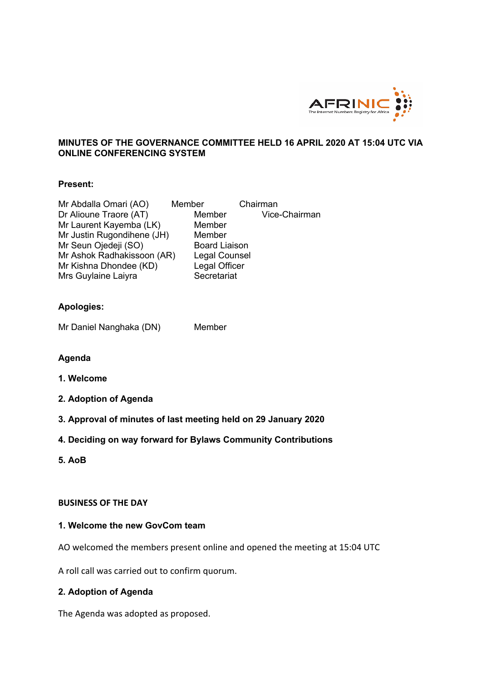

## **MINUTES OF THE GOVERNANCE COMMITTEE HELD 16 APRIL 2020 AT 15:04 UTC VIA ONLINE CONFERENCING SYSTEM**

#### **Present:**

| Mr Abdalla Omari (AO)      | Member               | Chairman      |
|----------------------------|----------------------|---------------|
| Dr Alioune Traore (AT)     | Member               | Vice-Chairman |
| Mr Laurent Kayemba (LK)    | Member               |               |
| Mr Justin Rugondihene (JH) | Member               |               |
| Mr Seun Ojedeji (SO)       | <b>Board Liaison</b> |               |
| Mr Ashok Radhakissoon (AR) | Legal Counsel        |               |
| Mr Kishna Dhondee (KD)     | Legal Officer        |               |
| Mrs Guylaine Laiyra        | Secretariat          |               |

# **Apologies:**

Mr Daniel Nanghaka (DN) Member

#### **Agenda**

- **1. Welcome**
- **2. Adoption of Agenda**
- **3. Approval of minutes of last meeting held on 29 January 2020**
- **4. Deciding on way forward for Bylaws Community Contributions**
- **5. AoB**

#### **BUSINESS OF THE DAY**

#### **1. Welcome the new GovCom team**

AO welcomed the members present online and opened the meeting at 15:04 UTC

A roll call was carried out to confirm quorum.

#### **2. Adoption of Agenda**

The Agenda was adopted as proposed.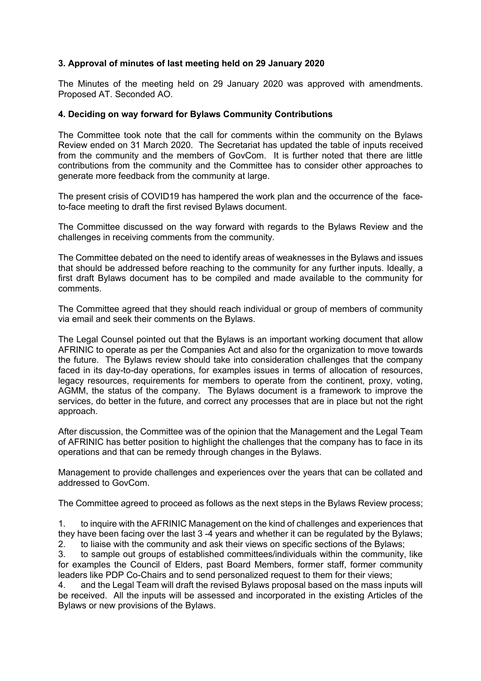## **3. Approval of minutes of last meeting held on 29 January 2020**

The Minutes of the meeting held on 29 January 2020 was approved with amendments. Proposed AT. Seconded AO.

#### **4. Deciding on way forward for Bylaws Community Contributions**

The Committee took note that the call for comments within the community on the Bylaws Review ended on 31 March 2020. The Secretariat has updated the table of inputs received from the community and the members of GovCom. It is further noted that there are little contributions from the community and the Committee has to consider other approaches to generate more feedback from the community at large.

The present crisis of COVID19 has hampered the work plan and the occurrence of the faceto-face meeting to draft the first revised Bylaws document.

The Committee discussed on the way forward with regards to the Bylaws Review and the challenges in receiving comments from the community.

The Committee debated on the need to identify areas of weaknesses in the Bylaws and issues that should be addressed before reaching to the community for any further inputs. Ideally, a first draft Bylaws document has to be compiled and made available to the community for comments.

The Committee agreed that they should reach individual or group of members of community via email and seek their comments on the Bylaws.

The Legal Counsel pointed out that the Bylaws is an important working document that allow AFRINIC to operate as per the Companies Act and also for the organization to move towards the future. The Bylaws review should take into consideration challenges that the company faced in its day-to-day operations, for examples issues in terms of allocation of resources, legacy resources, requirements for members to operate from the continent, proxy, voting, AGMM, the status of the company. The Bylaws document is a framework to improve the services, do better in the future, and correct any processes that are in place but not the right approach.

After discussion, the Committee was of the opinion that the Management and the Legal Team of AFRINIC has better position to highlight the challenges that the company has to face in its operations and that can be remedy through changes in the Bylaws.

Management to provide challenges and experiences over the years that can be collated and addressed to GovCom.

The Committee agreed to proceed as follows as the next steps in the Bylaws Review process;

1. to inquire with the AFRINIC Management on the kind of challenges and experiences that they have been facing over the last 3 -4 years and whether it can be regulated by the Bylaws; 2. to liaise with the community and ask their views on specific sections of the Bylaws;

3. to sample out groups of established committees/individuals within the community, like for examples the Council of Elders, past Board Members, former staff, former community leaders like PDP Co-Chairs and to send personalized request to them for their views;

4. and the Legal Team will draft the revised Bylaws proposal based on the mass inputs will be received. All the inputs will be assessed and incorporated in the existing Articles of the Bylaws or new provisions of the Bylaws.